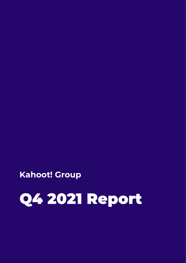# Q4 2021 Report

**Kahoot! Group**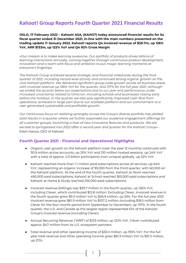# **Kahoot! Group Reports Fourth Quarter 2021 Financial Results**

**OSLO, 17 February 2022 – Kahoot! ASA, (KAHOT) today announced financial results for its fiscal quarter ended 31 December 2021, in-line with the main numbers presented on the trading update 11 January 2022. Kahoot! reports Q4 invoiced revenue of \$39.7m, up 126% YoY, ARR \$133m, up 122% YoY and Q4 92% Gross Margin**

«*Our mission is to make learning awesome. Our portfolio of products drives billions of learning interactions annually, coming together through continuous product development, innovation and a team with focus and ambition to put magic learning moments at everyone's fingertips.*

*The Kahoot! Group achieved several strategic and financial milestones during the final quarter of 2021, including record-level activity and continued strong organic growth on the core Kahoot! platform. We delivered significant group-wide growth across all business areas with invoiced revenue up 126% YoY for the quarter, and 137% for the full year 2021, although we ended the quarter below our expectations due to our year end performance under increased uncertainty related to Omicron, including schools and businesses closing early before the holidays. In the quarter we also saw significantly improved cash-flow from operations, achieved in large part due to our scalable platform and our commitment to a user generated, sustainable and profitable growth.*

*Our continuous focus on realizing synergies across the Group's diverse portfolio has yielded solid results in a quarter where we further expanded our audience engagement offerings for all customer groups, launching a host of new innovative features and products. We are excited to springboard into 2022 after a record-year and quarter for the Kahoot! Group*» - Eilert Hanoa, CEO of Kahoot!

# **Fourth Quarter 2021 - Financial and Operational Highlights**

- Organic user growth on the Kahoot! platform (over the past 12 months) continued with 30.9 million active accounts, up 25% YoY and 310 million hosted sessions, up 24% YoY with a total of approx. 2.0 billion participants (non-unique) globally, up 32% YoY.
- Kahoot! reached more than 1.1 million paid subscriptions across all services, up 64% YoY, representing an organic increase of 95,000 from the third quarter, with 60,000 on the Kahoot! platform. At the end of the fourth quarter, Kahoot! at Work reached 490,000 paid subscriptions, Kahoot! at School reached 365,000 paid subscriptions and Kahoot! at Home & Study reached 255,000 paid subscriptions.
- Invoiced revenue (billings) was \$39.7 million in the fourth quarter, up 126% YoY, including Clever, which contributed \$12.8 million. Excluding Clever, invoiced revenue in the fourth quarter grew \$9.3 million YoY to \$26.9 million, up 53%. For the full year 2021 invoiced revenue grew \$61.9 million YoY to \$107.2 million (including \$18.5 million from Clever for the four-month period from September to December), up 137%. In the fourth quarter, the U.S. and Canada as the largest region represented 61% of the Kahoot! Group's invoiced revenue (including Clever).
- Annual Recurring Revenue ("ARR") of \$133 million, up 122% YoY. Clever contributed approx. \$47 million from its U.S. ecosystem partners.
- Total revenue and other operating income of \$33.0 million, up 193% YoY. For the full year total revenue and other operating income grew \$61.9 million YoY to \$91.3 million, up 211%.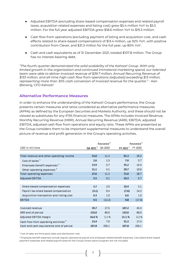- Adjusted EBITDA (excluding share-based compensation expenses and related payroll taxes, acquisition related expenses and listing cost) grew \$5.4 million YoY to \$5.5 million. For the full year adjusted EBITDA grew \$18.6 million YoY to \$19.3 million.
- Cash flow from operations (excluding payment of listing and acquisition cost, and cash effects related to share-based compensation) of \$13.4 million, up 92% YoY, with positive contribution from Clever, and \$31.3 million for the full year, up 80% YoY.
- Cash and cash equivalents as of 31 December 2021, totaled \$107.8 million. The Group has no interest-bearing debt.

*"The fourth quarter demonstrated the solid scalability of the Kahoot! Group. With only limited growth in the organization and continued immaterial marketing spend, our talented team were able to deliver invoiced revenue of \$39.7 million, Annual Recurring Revenue of \$133 million, and all-time high cash flow from operations (adjusted) exceeding \$13 million, representing more than 30% cash conversion of invoiced revenue for the quarter."* - Ken Østreng, CFO Kahoot!

# **Alternative Performance Measures**

In order to enhance the understanding of the Kahoot! Group's performance, the Group presents certain measures and ratios considered as alternative performance measures (APMs) as defined by the European Securities and Markets Authority, and these should not be viewed as substitutes for any IFRS financial measures. The APMs includes Invoiced Revenue, Monthly Recurring Revenue (MRR), Annual Recurring Revenue (ARR), EBITDA, adjusted EBITDA, adjusted cash flow from operations and equity ratio. These APMs are presented as the Group considers them to be important supplemental measures to understand the overall picture of revenue and profit generation in the Group's operating activities.

|                                                  |                      | Restated <sup>®</sup> |                      | Restated <sup>6</sup> |
|--------------------------------------------------|----------------------|-----------------------|----------------------|-----------------------|
| USD in millions                                  | Q4 2021 <sup>5</sup> | Q4 2020               | FY 2021 <sup>5</sup> | FY 2020               |
|                                                  |                      |                       |                      |                       |
| Total revenue and other operating income         | 33.0                 | 11.3                  | 91.3                 | 29.3                  |
| Cost of sales 1                                  | 2.6                  | 1.3                   | 7.0                  | 3.7                   |
| Employee benefit expenses <sup>2</sup>           | 13.9                 | 5.7                   | 35.2                 | 14.4                  |
| Other operating expenses <sup>3</sup>            | 11.1                 | 4.1                   | 29.7                 | 10.6                  |
| Total operating expenses                         | 27.6                 | 11.2                  | 72.0                 | 28.7                  |
| <b>Adjusted EBITDA</b>                           | 5.5                  | 0.1                   | 19.3                 | 0.7                   |
|                                                  |                      |                       |                      |                       |
| Share based compensation expenses                | 3.7                  | 2.0                   | 10.4                 | 3.1                   |
| Payroll tax share based compensation             | (3.1)                | 9.4                   | (7.6)                | 14.2                  |
| Acquisition transaction and listing cost         | 0.3                  | 1.0                   | 6.6                  | 1.0                   |
| <b>EBITDA</b>                                    | 4.5                  | (12.2)                | 9.8                  | (17.6)                |
|                                                  |                      |                       |                      |                       |
| Invoiced revenue                                 | 39.7                 | 17.5                  | 107.2                | 45.3                  |
| ARR end of period                                | 133.0                | 60.0                  | 133.0                | 60.0                  |
| Adjusted EBITDA margin                           | 16.6%                | 1.1%                  | 21.1%                | 2.2%                  |
| Cash flow from operating activities <sup>4</sup> | 13.4                 | 7.0                   | 31.3                 | 17.4                  |
| Cash and cash equivalents end of period          | 107.8                | 256.1                 | 107.8                | 256.1                 |

<sup>1</sup> Cost of sales are third-party sales and distribution cost.

<sup>2</sup> Employee benefit expenses include regular operational payroll and employee related benefit expenses. Calculated share-based payment expenses and related payroll taxes for the Group's share option program are not included.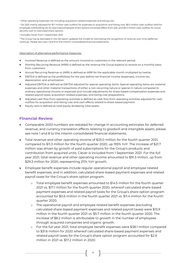<sup>3</sup> Other operating expenses not including acquisition-related expenses and listing cost.

<sup>4</sup> Q4 2021 mainly adjusted for \$1.1 million cash outflow for expenses to acquisition and listing cost, \$6.5 million cash outflow held for employee withholding tax for exercised employee share options (reversed effect from Q3), and \$3.3 million cash outflow for social security cost on exercised share options.

5 Includes Clever from 1 September 2021.

<sup>6</sup> The Group has as disclosed in the Q3 report updated the model for estimating the recognition of revenue over time (deferred revenue). Please see note 1 and 8 to the interim consolidated financial statements.

#### Description of alternative performance measures:

- Invoiced Revenue is defined as the amount invoiced to customers in the relevant period.
- Monthly Recurring Revenue (MRR) is defined as the revenue the Group expects to receive on a monthly basis from customers.
- Annual Recurring Revenue or (ARR) is defined as MRR for the applicable month multiplied by twelve.
- EBITDA is defined as the profit/(loss) for the year before net financial income (expenses), income tax, depreciation, and amortization.
- Adjusted EBITDA is defined as EBITDA adjusted for special operating items. Special operating items are material expenses and other material transactions of either a non-recurring nature or special in nature compared to ordinary operational income or expenses and include adjustments for share-based compensation expenses and related payroll taxes, acquisition-related expenses, and listing cost preparations.
- Adjusted cash flow from operating activities is defined as cash flow from operating activities adjusted for cash outflow for acquisition and listing cost and cash effects related to share-based payment.
- Equity ratio is defined as total equity divided by total assets.

# **Financial Review**

- Comparable 2020 numbers are restated for change in accounting estimates for deferred revenue, and currency translation effects relating to goodwill and intangible assets, please see note 1 and 8 to the interim consolidated financial statements.
- Total revenue and other operating income of \$33.0 million for the fourth quarter 2021, compared to \$11.3 million for the fourth quarter 2020, up 193% YoY. The increase of \$21.7 million was driven by growth of paid subscriptions for the Group's products and contribution from acquired units. Clever is included from 1 September 2021. For the full year 2021, total revenue and other operating income amounted to \$91.3 million, up from \$29.3 million for 2020, representing 211% YoY growth.
- Employee benefit expenses include regular operational payroll and employee related benefit expenses, and in addition, calculated share-based payment expenses and related payroll taxes for the Group's share option program.
	- o Total employee benefit expenses amounted to \$14.5 million for the fourth quarter 2021 vs. \$17.1 million for the fourth quarter 2020, whereof calculated share-based payment expenses and related payroll taxes for the Group's share option program accounted for \$0.6 million in the fourth quarter 2021 vs. \$11.4 million for the fourth quarter 2020.
	- o The operational payroll and employee related benefit expenses (excluding calculated share-based payment expenses and related payroll taxes) were \$13.9 million in the fourth quarter 2021 vs. \$5.7 million in the fourth quarter 2020. The increase of \$8.2 million is attributable to growth in the number of employees through acquired companies and organic growth.
	- o For the full year 2021, total employee benefit expenses were \$38.1 million compared to \$31.6 million for 2020 whereof calculated share-based payment expenses and related payroll taxes for the Group's share option program accounted for \$2.9 million in 2021 vs. \$17.2 million in 2020.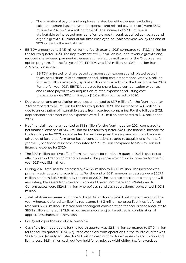- o The operational payroll and employee related benefit expenses (excluding calculated share-based payment expenses and related payroll taxes) were \$35.2 million for 2021 vs. \$14.4 million for 2020. The increase of \$20.8 million is attributable to increased number of employees through acquired companies and organic growth. Number of full-time employee equivalents were 422 by the end of 2021 vs. 182 by the end of 2020.
- EBITDA amounted to \$4.5 million for the fourth quarter 2021 compared to -\$12.2 million for the fourth quarter 2020. The improvement of \$16.7 million is due to revenue growth and reduced share-based payment expenses and related payroll taxes for the Group's share option program. For the full year 2021, EBITDA was \$9.8 million, up \$27.4 million from -\$17.6 million in 2020.
	- o EBITDA adjusted for share-based compensation expenses and related payroll taxes, acquisition-related expenses and listing cost preparations, was \$5.5 million for the fourth quarter 2021, up \$5.4 million compared to for the fourth quarter 2020. For the full year 2021, EBITDA adjusted for share-based compensation expenses and related payroll taxes, acquisition-related expenses and listing cost preparations was \$19.3 million, up \$18.6 million compared to 2020.
- Depreciation and amortization expenses amounted to \$3.7 million for the fourth quarter 2021 compared to \$1.1 million for the fourth quarter 2020. The increase of \$2.6 million is due to amortization of intangible assets from acquired companies. For the full year 2021, depreciation and amortization expenses were \$10.2 million compared to \$2.6 million for 2020.
- Net financial income amounted to \$1.5 million for the fourth quarter 2021, compared to net financial expense of \$14.5 million for the fourth quarter 2020. The financial income for the fourth quarter 2021 were affected by net foreign exchange gains and net change in fair value of future performance-based considerations related to acquisitions. For the full year 2021, net financial income amounted to \$2.0 million compared to \$15.0 million net financial expense for 2020.
- The \$0.8 million positive effect from income tax for the fourth quarter 2021 is due to tax effect on amortization of intangible assets. The positive effect from income tax for the full year 2021 was \$1.8 million.
- During 2021, total assets increased by \$433.7 million to \$811.9 million. The increase was primarily attributable to acquisitions. Per the end of 2021, non-current assets were \$687.1 million, up from \$115.7 million by the end of 2020. The increase is attributable to goodwill and intangible assets from the acquisitions of Clever, Motimate and Whiteboard.fi. Current assets were \$124.8 million whereof cash and cash equivalents represented \$107.8 million.
- Total liabilities increased during 2021 by \$134.0 million to \$226.1 million per the end of the year, whereas deferred tax liability represents \$46.3 million, contract liabilities (deferred revenue) \$60.8 million. Deferred and contingent consideration for acquisitions amounts to \$95.9 million (whereof \$42.8 million are non-current) to be settled in combination of approx. 22% shares and 78% cash.
- Equity ratio per the end of 2021 was 72%.
- Cash flow from operations for the fourth quarter was \$2.8 million compared to \$7.0 million for the fourth quarter 2020. Adjusted cash flow from operations in the fourth quarter was \$13.4 million (mainly adjusted for \$1.1 million cash outflow for expenses to acquisition and listing cost, \$6.5 million cash outflow held for employee withholding tax for exercised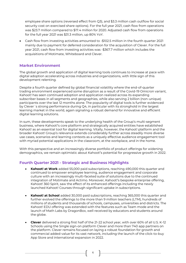employee share options (reversed effect from Q3), and \$3.3 million cash outflow for social security cost on exercised share options). For the full year 2021, cash flow from operations was \$23.7 million compared to \$17.4 million for 2020. Adjusted cash flow from operations for the full year 2021 was \$31.3 million, up 80% YoY.

• Cash flow from investing activities amounted to -\$102.5 million in the fourth quarter 2021 mainly due to payment for deferred consideration for the acquisition of Clever. For the full year 2021, cash flow from investing activities was -\$367.7 million which includes the acquisitions of Motimate, Whiteboard and Clever.

# **Market Environment**

The global growth and application of digital learning tools continues to increase at pace with digital adoption accelerating across industries and organizations, with little sign of this development relenting.

Despite a fourth quarter defined by global financial volatility where the end-of-quarter trading environment experienced some disruption as a result of the Covid-19 Omicron variant, Kahoot! has seen continued adoption and application realized across its expanding subscriber bases in all segments and geographies, while also serving 2 billion (non-unique) participants over the last 12 months alone. The popularity of digital tools is further evidenced by Clever´s strong performance during Q4, in particular with its stronghold in the largest learning market in the world, again signaling a robust demand for innovative and efficient digital learning solutions.

In sum, these developments speak to the underlying health of the Group's multi-segment business, where Kahoot!'s core platform and strategically acquired entities have established Kahoot! as an essential tool for digital learning. Vitally, however, the Kahoot! platform and the broader Kahoot! Group's relevance extends considerably further across steadily more diverse use cases, scenarios and learning contexts as a uniquely effective audience engagement tool with myriad potential applications in the classroom, at the workplace, and in the home.

With this perspective and an increasingly diverse portfolio of product offerings for widening demographics, we remain optimistic about Kahoot!'s potential for progressive growth in 2022.

# **Fourth Quarter 2021 - Strategic and Business Highlights**

- **Kahoot! at Work** added 55,000 paid subscriptions, reaching 490,000 this quarter and continued to empower employee learning, audience engagement and corporate culture with an increasingly multi-faceted suite of solutions due to the continued integration of Motimate and Actimo. Moreover, Kahoot!'s bespoke enterprise offering, Kahoot! 360 Spirit, saw the effect of its enhanced offerings including the newly launched Kahoot! Courses through significant uptake in subscriptions.
- **Kahoot! at School** added 30,000 paid subscriptions, reaching 365,000 this quarter and further evolved the offerings to the more than 9 million teachers (LTM), hundreds of millions of students and thousands of schools, campuses, universities and districts. The Kahoot! EDU offering was extended with the features such as Team mode and the launch of Math Labs by DragonBox, well received by educators and students around the globe.
- **Clever** delivered a strong first half of the 21-22 school year, with over 60% of all U.S. K-12 Schools using the Single sign-on platform Clever and more than 740 app partners on the platform. Clever remains focused on laying a robust foundation for growth and commercial added-value for its vast network, including the launch of the click-to-buy App Store and international expansion in 2022.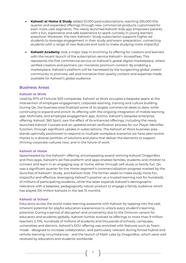- **Kahoot! at Home & Study** added 10,000 paid subscriptions, reaching 255,000 this quarter and expanded offerings through new commercial products customized for even more user segments. The newly launched Kahoot! Kids app empowers parents with a fun, explorative and safe experience to spark curiosity in young learners preschool. Moreover, the new Kahoot!+ Study subscription supports higher ed students to leverage engagement in their study and exam preparation, connecting students with a range of new features and tools to make studying more impactful.
- **Kahoot! Academy** took a major step in enriching its offering for creators and learners with the recent launch of the subscription service Kahoot!+ AccessPass. This represents the first commercial service on Kahoot!'s global digital marketplace, where verified creators and partners can monetize premium content. By enabling a marketplace, Kahoot!'s platform will be harnessed by the burgeoning global creator community to promote, sell and monetize their quality content and expertise made available for Kahoot!'s global audience.

## **Business Areas**

## **Kahoot! at Work**

Used by 97% of Fortune 500 companies, Kahoot! at Work occupies a bespoke space at the intersection of employee engagement, corporate learning, training and culture building. During Q4, the business area finalized some of its largest commercial deals to date, while continuing to expand and enrich its offering with the ongoing integration of mobile learning app, Motimate, and employee engagement app, Actimo. Kahoot!'s bespoke enterprise offering, Kahoot! 360 Spirit, saw the effect of its enhanced offerings, including the newly launched Kahoot! Courses and an updated email verification process for our Player Identifier function, through significant uptake in subscriptions. The Kahoot! at Work business area stands optimally positioned to respond to multiple workplace scenarios we have seen evolve thanks to a diverse portfolio of solutions and plans that deliver the elements to support thriving corporate cultures now, and in the future of work.

## **Kahoot! at Home**

Spearheaded by the Kahoot!+ offering, encompassing award-winning Kahoot! DragonBox and Poio apps, Kahoot!'s ad-free platform and apps enables families, students and children to connect and learn in an engaging way at home, either through self-study or family fun. Q4 was a significant quarter for the Home segment's commercialization progress marked by the launches of Kahoot!+ Study, and Kahoot! Kids. The former seeks to make study more fun, impactful and effective, leveraging Kahoot!'s position as a trusted learning tool for hundreds of millions of participating students, while the latter expands Kahoot!'s demographic relevance with a bespoke, pedagogically robust product to engage a family audience which has played 100 million kahoots in the last 12 months.

## **Kahoot! at School**

Educators across the world make learning awesome with Kahoot! by tapping into the vast, inherent potential for playful education experiences to unlock every student's learning potential. During a period of disruption and uncertainty due to the Omicron variant for educators and students globally, Kahoot! further evolved its offerings to more than 9 million teachers (LTM), hundreds of millions of students and thousands of schools, campuses, universities and districts. Kahoot!'s EDU offering was enriched with features such as Team mode - designed to increase collaboration, and particularly relevant during forced hybrid and remote learning circumstances - and the launch of Math Labs by DragonBox, which were well received by educators and students worldwide.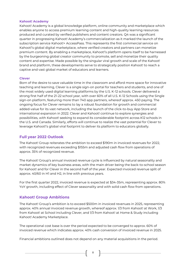## **Kahoot! Academy**

Kahoot! Academy is a global knowledge platform, online community and marketplace which enables anyone to access premium learning content and high-quality learning resources produced and curated by verified publishers and content creators. Q4 was a significant quarter in progressing Kahoot! Academy's commercialization as it marked the launch of the subscription service Kahoot!+ AccessPass. This represents the first commercial service on Kahoot!'s global digital marketplace, where verified creators and partners can monetize premium content. By enabling a marketplace, Kahoot!'s platform opens itself to be harnessed by the burgeoning global creator community to promote, sell and monetize their quality content and expertise. Made possible by the singular viral growth and scale of the Kahoot! brand and platform, these developments serve to strategically position Kahoot! to reach a captive and vast global market of educators and learners.

## **Clever**

Born of the desire to save valuable time in the classroom and afford more space for innovative teaching and learning, Clever is a single sign-on portal for teachers and students, and one of the most widely used digital learning platforms by the U.S. K-12 schools. Clever delivered a strong first half of the 21-22 school year, with over 60% of all U.S. K-12 Schools using the Single sign-on platform, featuring more than 740 app partners, whereof approx. 450 paying. The ongoing focus for Clever remains to lay a robust foundation for growth and commercial added-value for its vast network, including the launch of the click-to-buy App Store and international expansion in 2022. Clever and Kahoot! continue to explore synergies and possibilities, with Kahoot! seeking to expand its considerable footprint across K12 schools in the U.S. and Canada. Similarly, efforts will continue to realize the vast potential for Clever to leverage Kahoot!'s global viral footprint to deliver its platform to educators globally.

# **Full year 2022 Outlook**

The Kahoot! Group reiterates the ambition to exceed \$190m in invoiced revenues for 2022, with recognized revenues exceeding \$155m and adjusted cash flow from operations of approx. 35% of recognized revenue.

The Kahoot! Group's annual invoiced revenue cycle is influenced by natural seasonality and market dynamics of key business areas, with the main driver being the back-to-school season for Kahoot! and for Clever in the second half of the year. Expected invoiced revenue split of approx. 40/60 in H1 and H2, in line with previous years.

For the first quarter 2022, invoiced revenue is expected at \$34-35m, representing approx. 80% YoY growth, including effect of Clever seasonality and with solid cash flow from operations.

# **Kahoot! Group Ambitions**

The Kahoot! Group's ambition is to exceed \$500m in invoiced revenues in 2025, representing approx. 40% annual invoiced revenue growth, whereof approx. 1/3 from Kahoot! at Work, 1/3 from Kahoot! at School including Clever, and 1/3 from Kahoot! at Home & Study including Kahoot! Academy Marketplace.

The operational cost base is over the period expected to be converged to approx. 60% of invoiced revenue which indicates approx. 40% cash conversion of invoiced revenue in 2025.

Financial ambitions outlined does not depend on any material acquisitions in the period.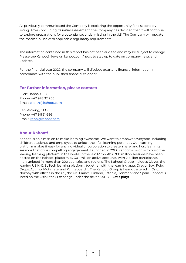As previously communicated the Company is exploring the opportunity for a secondary listing. After concluding its initial assessment, the Company has decided that it will continue to explore preparations for a potential secondary listing in the U.S. The Company will update the market in line with applicable regulatory requirements.

The information contained in this report has not been audited and may be subject to change. Please see Kahoot! News on kahoot.com/news to stay up to date on company news and updates.

For the financial year 2022, the company will disclose quarterly financial information in accordance with the published financial calendar.

# **For further information, please contact:**

Eilert Hanoa, CEO Phone: +47 928 32 905 Email: [eilerth@kahoot.com](mailto:eilerth@kahoot.com)

Ken Østreng, CFO Phone: +47 911 51 686 Email: [keno@kahoot.com](mailto:keno@kahoot.com)

# **About Kahoot!**

Kahoot! is on a mission to make learning awesome! We want to empower everyone, including children, students, and employees to unlock their full learning potential. Our learning platform makes it easy for any individual or corporation to create, share, and host learning sessions that drive compelling engagement. Launched in 2013, Kahoot!'s vision is to build the leading learning platform in the world. In the last 12 months, 300 million sessions have been hosted on the Kahoot! platform by 30+ million active accounts, with 2 billion participants (non-unique) in more than 200 countries and regions. The Kahoot! Group includes Clever, the leading US K-12 EdTech learning platform, together with the learning apps DragonBox, Poio, Drops, Actimo, Motimate, and Whiteboard.fi. The Kahoot! Group is headquartered in Oslo, Norway with offices in the US, the UK, France, Finland, Estonia, Denmark and Spain. Kahoot! is listed on the Oslo Stock Exchange under the ticker KAHOT. **Let's play!**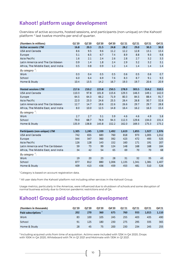# **Kahoot! platform usage development**

Overview of active accounts, hosted sessions, and participants (non-unique) on the Kahoot! platform <sup>2</sup> last twelve months per end of quarter.

| (Numbers in millions)              | Q1'20 | Q2'20 | Q3'20 | Q4'20 | Q1'21 | Q2'21 | Q3'21 | Q4'21 |
|------------------------------------|-------|-------|-------|-------|-------|-------|-------|-------|
| <b>Active accounts LTM</b>         | 16.8  | 20.3  | 21.5  | 24.8  | 28.2  | 29.0  | 30.3  | 30.9  |
| <b>USA and Canada</b>              | 8.6   | 9.5   | 9.6   | 11.2  | 12.2  | 12.8  | 13.1  | 13.4  |
| Europe                             | 5.1   | 6.5   | 6.7   | 7.4   | 8.9   | 8.8   | 9.3   | 9.8   |
| Asia Pacific                       | 1.6   | 2.1   | 2.4   | 2.6   | 2.8   | 2.7   | 3.2   | 3.3   |
| Latin America and The Caribbean    | 0.9   | 1.4   | 1.8   | 2.4   | 2.9   | 3.2   | 3.2   | 3.1   |
| Africa, The Middle East, and India | 0.5   | 0.8   | 0.9   | 1.2   | 1.4   | 1.4   | 1.4   | 1.4   |
| By category $\frac{1}{2}$ :        |       |       |       |       |       |       |       |       |
| Work                               | 0.3   | 0.4   | 0.5   | 0.5   | 0.6   | 0.5   | 0.6   | 0.7   |
| School                             | 6.0   | 6.4   | 6.9   | 7.6   | 8.3   | 8.7   | 9.1   | 9.3   |
| Home & Study                       | 10.4  | 13.5  | 14.2  | 16.7  | 19.3  | 19.7  | 20.6  | 20.9  |
|                                    |       |       |       |       |       |       |       |       |
| <b>Hosted sessions LTM</b>         | 217.6 | 210.2 | 223.8 | 250.5 | 278.9 | 303.5 | 314.2 | 310.5 |
| <b>USA and Canada</b>              | 110.3 | 97.8  | 101.8 | 115.6 | 129.3 | 146.3 | 149.1 | 142.0 |
| Europe                             | 64.5  | 64.3  | 66.2  | 71.9  | 80.3  | 84.5  | 88.4  | 91.7  |
| Asia Pacific                       | 22.0  | 23.3  | 24.6  | 25.5  | 26.4  | 26.8  | 30.7  | 32.6  |
| Latin America and The Caribbean    | 12.7  | 14.7  | 18.6  | 22.6  | 26.6  | 29.7  | 29.7  | 28.8  |
| Africa, The Middle East, and India | 8.0   | 10.0  | 12.5  | 14.8  | 16.4  | 16.2  | 16.3  | 15.4  |
| By category $\frac{1}{2}$ :        |       |       |       |       |       |       |       |       |
| Work                               | 2.7   | 2.7   | 3.1   | 3.9   | 4.6   | 4.6   | 4.9   | 5.8   |
| School                             | 79.0  | 68.7  | 76.9  | 94.3  | 112.3 | 129.6 | 134.0 | 131.4 |
| Home & Study                       | 135.9 | 138.8 | 143.8 | 152.2 | 162.0 | 169.3 | 175.3 | 173.2 |
|                                    |       |       |       |       |       |       |       |       |
| Participants (non-unique) LTM      | 1,305 | 1,245 | 1,339 | 1,492 | 1,619 | 1,855 | 1,927 | 1,976 |
| <b>USA and Canada</b>              | 742   | 655   | 683   | 760   | 818   | 973   | 1,005 | 1,012 |
| Europe                             | 344   | 347   | 360   | 392   | 423   | 472   | 493   | 525   |
| <b>Asia Pacific</b>                | 126   | 128   | 143   | 152   | 160   | 171   | 191   | 207   |
| Latin America and The Caribbean    | 59    | 73    | 99    | 124   | 148   | 168   | 168   | 164   |
| Africa, The Middle East, and India | 34    | 42    | 54    | 65    | 69    | 70    | 70    | 68    |
| By category $\frac{1}{2}$ :        |       |       |       |       |       |       |       |       |
| Work                               | 19    | 20    | 23    | 28    | 31    | 32    | 35    | 43    |
| School                             | 877   | 812   | 880   | 1,006 | 1,135 | 1,341 | 1,381 | 1,407 |
| Home & Study                       | 409   | 413   | 436   | 459   | 453   | 481   | 510   | 526   |

<sup>1</sup> Category is based on account registration data.

<sup>2</sup> All user data from the Kahoot! platform not including other services in the Kahoot! Group.

Usage metrics, particularly in the Americas, were influenced due to shutdown of schools and some disruption of normal business activity due to Omicron pandemic restrictions end of Q4.

# **Kahoot! Group paid subscription development**

| (Numbers in thousands)          | O1'20 | Q2'20 | Q3'20 | Q4'20 | Q1'21 | 02'21 | Q3'21 | Q4'21 |
|---------------------------------|-------|-------|-------|-------|-------|-------|-------|-------|
| Paid subscriptions <sup>3</sup> | 202   | 270   | 360   | 675   | 760   | 933   | 1,015 | 1,110 |
| Work                            | 83    | 100   | 105   | 245   | 255   | 403   | 435   | 490   |
| School                          | 91    | 125   | 180   | 230   | 275   | 295   | 335   | 365   |
| Home & Study                    | 28    | 45    | 75    | 200   | 230   | 234   | 245   | 255   |

3 Including acquired units from time of acquisition. Actimo were included with 125K in Q4 2020, Drops with 100K in Q4 2020, Whiteboard with 7K in Q1 2021 and Motimate with 130K in Q1 2021.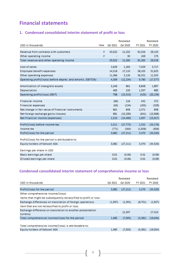# **Financial statements**

# **1. Condensed consolidated interim statement of profit or loss**

|                                                              |      |         | Restated  |         | Restated  |
|--------------------------------------------------------------|------|---------|-----------|---------|-----------|
| USD in thousands                                             | Note | Q4 2021 | Q4 2020   | FY 2021 | FY 2020   |
| Revenue from contracts with customers                        | з    | 33,022  | 11,255    | 91,016  | 29,143    |
| Other operating income                                       | з    |         | 30        | 249     | 175       |
| Total revenue and other operating income                     |      | 33,022  | 11,285    | 91,265  | 29,318    |
|                                                              |      |         |           |         |           |
| Cost of sales                                                |      | 2,629   | 1,283     | 7.029   | 3,717     |
| Employee benefit expenses                                    |      | 14,518  | 17,110    | 38,105  | 31,625    |
| Other operating expenses                                     |      | 11,366  | 5,126     | 36,351  | 11,553    |
| Operating profit/(loss) before deprec. and amortiz. (EBITDA) |      | 4,509   | (12, 234) | 9,780   | (17, 577) |
| Amortization of intangible assets                            |      | 3.246   | 861       | 8,848   | 1.897     |
| Depreciation                                                 |      | 465     | 220       | 1.357   | 685       |
| Operating profit/(loss) (EBIT)                               |      | 798     | (13, 315) | (425)   | (20, 159) |
| <b>Financial income</b>                                      |      | (66)    | 116       | 432     | 372       |
| <b>Financial expenses</b>                                    |      | (63)    | (134)     | (205)   | (329)     |
| Net change in fair value of financial instruments            |      | 661     | 848       | 2,371   | 848       |
| Net foreign exchange gains (losses)                          |      | 981     | (15, 290) | (641)   | (15,908)  |
| Net financial income (expenses)                              |      | 1,513   | (14, 460) | 1,957   | (15,017)  |
| Profit/(loss) before income tax                              |      | 2,311   | (27, 775) | 1,532   | (35, 176) |
| Income tax                                                   |      | (771)   | (564)     | (1,838) | (656)     |
| Profit/(loss) for the period                                 |      | 3,082   | (27, 211) | 3,370   | (34,520)  |
| Profit/(loss) for the period is attributable to:             |      |         |           |         |           |
| Equity holders of Kahoot! ASA                                |      | 3,082   | (27, 211) | 3,370   | (34, 520) |
| Earnings per share in USD                                    |      |         |           |         |           |
| Basic earnings per share                                     |      | 0.01    | (0.06)    | 0.01    | (0.09)    |
| Diluted earnings per share                                   |      | 0.01    | (0.06)    | 0.01    | (0.09)    |

# **Condensed consolidated interim statement of comprehensive income or loss**

|                                                                        |                          | Restated  |                          | Restated |
|------------------------------------------------------------------------|--------------------------|-----------|--------------------------|----------|
| USD in thousands                                                       | Q4 2021                  | Q4 2020   | FY 2021                  | FY 2020  |
|                                                                        |                          |           |                          |          |
| Profit/(loss) for the period                                           | 3,082                    | (27, 211) | 3,370                    | (34,520) |
| Other comprehensive income/(loss):                                     |                          |           |                          |          |
| Items that might be subsequently reclassified to profit or loss:       |                          |           |                          |          |
| Exchange differences on translation of foreign operations              | (1.597)                  | (1.391)   | (8.751)                  | (1,927)  |
| Item that are not reclassified to profit or loss:                      |                          |           |                          |          |
| Exchange difference on translation to another presentation<br>currency | $\overline{\phantom{a}}$ | 21,597    | $\overline{\phantom{a}}$ | 17,413   |
| Total comprehensive income/(loss) for the period                       | 1,485                    | (7,005)   | (5, 381)                 | (19,034) |
|                                                                        |                          |           |                          |          |
| Total comprehensive income/(loss) is attributable to:                  |                          |           |                          |          |
| Equity holders of Kahoot! ASA                                          | 1,485                    | (7.005)   | (5, 381)                 | (19,034) |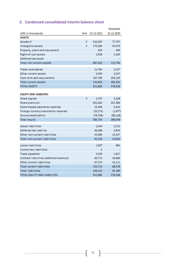# **2. Condensed consolidated interim balance sheet**

|                                                                     |      |            | Restated             |
|---------------------------------------------------------------------|------|------------|----------------------|
| USD in thousands                                                    | Note | 31.12.2021 | 31.12.2020           |
| <b>ASSETS</b>                                                       |      |            |                      |
| Goodwill                                                            | 2    | 510,207    | 77,757               |
| Intangible assets                                                   | 2    | 173,284    | 34,373               |
| Property, plant and equipment                                       |      | 633        | 409                  |
| Right-of-use assets                                                 |      | 2,928      | 3,165                |
| Deferred tax asset                                                  |      |            |                      |
| Total non-current assets                                            |      | 687,052    | 115,704              |
|                                                                     |      |            |                      |
| <b>Trade receivables</b>                                            |      | 11,764     | 3,157                |
| Other current assets                                                |      | 5,304      | 3,247                |
| Cash and cash equivalents                                           |      | 107,765    | 256,120              |
| Total current assets                                                |      | 124,833    | 262,524              |
| <b>TOTAL ASSETS</b>                                                 |      | 811,885    | 378,228              |
| <b>EQUITY AND LIABILITIES</b>                                       |      |            |                      |
| Share capital                                                       | 4    | 5,707      | 5,228                |
|                                                                     |      | 651,581    | 357,383              |
| Share premium                                                       |      | 15,496     |                      |
| Share-based payments reserves                                       |      | (10, 272)  | 5,542<br>(1, 977)    |
| Foreign currency translation reserves<br><b>Accumulated deficit</b> |      | (76, 758)  |                      |
|                                                                     |      | 585,754    | (80, 128)<br>286,048 |
| <b>Total equity</b>                                                 |      |            |                      |
| Lease liabilities                                                   |      | 2,044      | 2,312                |
| Deferred tax liability                                              |      | 46,288     | 5,843                |
| Other non-current liabilities                                       |      | 43,084     | 15,447               |
| <b>Total non-current liabilities</b>                                |      | 91,416     | 23,602               |
|                                                                     |      |            |                      |
| Lease liabilities                                                   |      | 1,007      | 964                  |
| <b>Current tax liabilities</b>                                      |      | 4          |                      |
| Trade payables                                                      |      | 5,359      | 1,817                |
| Contract liabilities (deferred revenue)                             |      | 60,772     | 30,686               |
| Other current liabilities                                           |      | 67,573     | 35,111               |
| <b>Total current liabilities</b>                                    |      | 134,715    | 68,578               |
| <b>Total liabilities</b>                                            |      | 226,131    | 92,180               |
| TOTAL EQUITY AND LIABILITIES                                        |      | 811,885    | 378,228              |

 $12$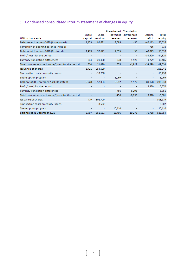# **3. Condensed consolidated interim statement of changes in equity**

|                                                  |                |                          | Share-based              | <b>Translation</b> |           |           |
|--------------------------------------------------|----------------|--------------------------|--------------------------|--------------------|-----------|-----------|
|                                                  | Share          | Share                    | payment                  | differences        | Accum.    | Total     |
| USD in thousands                                 | capital        | premium                  | reserves                 | reserves           | deficit   | equity    |
| Balance at 1 January 2020 (As reported)          | 1,473          | 92,621                   | 2,095                    | $-50$              | $-40,113$ | 56,026    |
| Correction of opening balance (note 8)           | ۰              | $\overline{\phantom{a}}$ | $\sim$                   | $\sim$             | $-716$    | $-716$    |
| Balance at 1 January 2020 (Restated)             | 1,473          | 92,621                   | 2,095                    | $-50$              | $-40,829$ | 55,310    |
| Profit/(loss) for the period                     | $\blacksquare$ | $\blacksquare$           |                          |                    | $-34,520$ | $-34,520$ |
| Currency translation differences                 | 334            | 21,480                   | 378                      | $-1,927$           | $-4,779$  | 15,486    |
| Total comprehensive income/(loss) for the period | 334            | 21,480                   | 378                      | $-1,927$           | $-39,299$ | $-19,034$ |
| <b>Issuance of shares</b>                        | 3.421          | 253,520                  | $\overline{\phantom{a}}$ |                    | $\sim$    | 256,941   |
| Transaction costs on equity issues               | $\blacksquare$ | $-10,238$                | $\blacksquare$           | ۰                  | $\sim$    | $-10,238$ |
| Share option program                             | ۰              | ٠                        | 3,069                    |                    |           | 3,069     |
| Balance at 31 December 2020 (Restated)           | 5,228          | 357,383                  | 5,542                    | $-1,977$           | $-80.128$ | 286,048   |
| Profit/(loss) for the period                     |                |                          | ۰                        |                    | 3,370     | 3,370     |
| Currency translation differences                 |                |                          | $-456$                   | $-8,295$           |           | $-8,751$  |
| Total comprehensive income/(loss) for the period |                |                          | $-456$                   | $-8,295$           | 3,370     | $-5,381$  |
| <b>Issuance of shares</b>                        | 479            | 302,700                  |                          |                    | $\sim$    | 303,179   |
| Transaction costs on equity issues               | $\blacksquare$ | $-8,502$                 | $\blacksquare$           | ۰                  | $\sim$    | $-8,502$  |
| Share option program                             | ۰              | ۰                        | 10,410                   |                    | $\sim$    | 10,410    |
| Balance at 31 December 2021                      | 5,707          | 651,581                  | 15,496                   | $-10.272$          | $-76.758$ | 585,754   |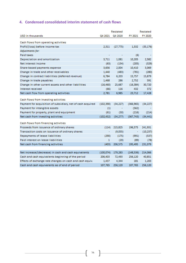# **4. Condensed consolidated interim statement of cash flows**

|                                                             |            | Restated  |            | Restated  |
|-------------------------------------------------------------|------------|-----------|------------|-----------|
| USD in thousands                                            | Q4 2021    | Q4 2020   | FY 2021    | FY 2020   |
| Cash flows from operating activities                        |            |           |            |           |
| Profit/(loss) before income tax                             | 2,311      | (27, 775) | 1,532      | (35, 176) |
| Adjustments for:                                            |            |           |            |           |
| Paid taxes                                                  |            |           | (6)        |           |
| Depreciation and amortization                               | 3.711      | 1,081     | 10,205     | 2,582     |
| Net interest income                                         | (63)       | (134)     | (205)      | (329)     |
| Share-based payments expense                                | 3,656      | 2,004     | 10,410     | 3,069     |
| Change in trade and other receivables                       | 1,440      | (483)     | (781)      | (280)     |
| Change in contract liabilities (deferred revenue)           | 6,784      | 6,203     | 15,757     | 15,879    |
| Change in trade payables                                    | 1,468      | 286       | 2,752      | 591       |
| Change in other current assets and other liabilities        | (16, 460)  | 25,687    | (16, 384)  | 30,720    |
| Interest received                                           | (66)       | 116       | 432        | 372       |
| Net cash flow from operating activities                     | 2,781      | 6,985     | 23,712     | 17,428    |
| Cash flows from investing activities                        |            |           |            |           |
| Payment for acquisition of subsidiary, net of cash acquired | (102, 390) | (34, 227) | (366, 965) | (34, 227) |
| Payment for intangible assets                               | (1)        |           | (562)      |           |
| Payment for property, plant and equipment                   | (61)       | (50)      | (216)      | (214)     |
| Net cash from investing activities                          | (102, 452) | (34,277)  | (367,743)  | (34, 441) |
| Cash flows from financing activities                        |            |           |            |           |
| Proceeds from issuance of ordinary shares                   | (114)      | 215,825   | 196,575    | 241,931   |
| Transaction costs on issuance of ordinary shares            | ۰          | (9,055)   | ۰          | (10, 237) |
| Repayments of lease liabilities                             | (290)      | (175)     | (991)      | (537)     |
| Paid interest on lease liabilities                          | 1          | (20)      | (89)       | (78)      |
| Net cash from financing activities                          | (403)      | 206,575   | 195,495    | 231,079   |
|                                                             |            |           |            |           |
| Net increase/(decrease) in cash and cash equivalents        | (100, 074) | 179,283   | (148, 536) | 214,066   |
| Cash and cash equivalents beginning of the period           | 206,403    | 72,493    | 256,120    | 40,851    |
| Effects of exchange rate changes on cash and cash equiv.    | 1,437      | 4,344     | 181        | 1,203     |
| Cash and cash equivalents as of end of period               | 107,765    | 256,120   | 107,765    | 256,120   |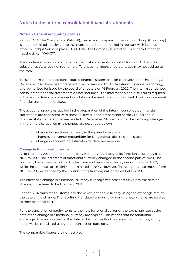# **Notes to the interim consolidated financial statements**

# **Note 1 - General accounting policies**

Kahoot! ASA (the Company or Kahoot!), the parent company of the Kahoot! Group (the Group) is a public limited liability company incorporated and domiciled in Norway, with its head office in Fridtjof Nansens plass 7, 0160 Oslo. The Company is listed on Oslo Stock Exchange has the ticker "KAHOT".

The condensed consolidated interim financial statements consist of Kahoot! ASA and its subsidiaries. As a result of rounding differences, numbers or percentages may not add up to the total.

These interim condensed consolidated financial statements for the twelve months ending 31 December 2021, have been prepared in accordance with IAS 34 Interim Financial Reporting, and authorized for issue by the board of directors on 16 February 2022. The interim condensed consolidated financial statements do not include all the information and disclosures required in the annual financial statements and should be read in conjunction with the Group's annual financial statements for 2020.

The accounting policies applied in the preparation of the interim consolidated financial statements are consistent with those followed in the preparation of the Group's annual financial statements for the year ended 31 December 2020, except for the following changes in the principles applied (the changes are described below):

- change in functional currency in the parent company
- changes in revenue recognition for DragonBox sales to schools; and
- change in accounting estimates for deferred revenue

## **Change in functional currency**

As of 1 January 2021, the parent company Kahoot! ASA changed its functional currency from NOK to USD. The indicators of functional currency changed in the second part of 2020. The company had strong growth in the last year and revenue is mainly denominated in USD, while the expenses are mainly denominated in NOK. However, financing has also moved from NOK to USD, evidenced by the contributions from capital increases held in USD.

The effect of a change in functional currency is recognized prospectively from the date of change, considered to be 1 January 2021.

Kahoot! ASA translates all items into the new functional currency using the exchange rate at the date of the change. The resulting translated amounts for non-monetary items are treated as their historical cost.

For the translation of equity items to the new functional currency the exchange rate at the date of the change of functional currency are applied. This means that no additional exchange differences arise on the date of the change. For the subsequent changes, equity items will be translated using their transaction date rate.

The comparable figures are not restated.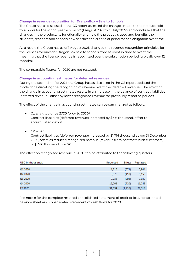## **Change in revenue recognition for DragonBox – Sale to Schools**

The Group has as disclosed in the Q3 report assessed the changes made to the product sold to schools for the school year 2021-2022 (1 August 2021 to 31 July 2022) and concluded that the changes in the product, its functionality and how the product is used and benefits the students, teachers and schools now satisfies the criteria of performance obligation over time.

As a result, the Group has as of 1 August 2021, changed the revenue recognition principles for the license revenues for DragonBox sale to schools from at point in time to over time, meaning that the license revenue is recognized over the subscription period (typically over 12 months).

The comparable figures for 2020 are not restated.

## **Change in accounting estimates for deferred revenues**

During the second half of 2021, the Group has as disclosed in the Q3 report updated the model for estimating the recognition of revenue over time (deferred revenue). The effect of the change in accounting estimates results in an increase in the balance of contract liabilities (deferred revenue), offset by lower recognized revenue for previously reported periods.

The effect of the change in accounting estimates can be summarized as follows:

- *Opening balance 2020 (prior to 2020):* Contract liabilities (deferred revenue) increased by \$716 thousand, offset to accumulated deficit.
- *FY 2020:*

Contract liabilities (deferred revenue) increased by \$1,716 thousand as per 31 December 2020, offset as reduced recognized revenue (revenue from contracts with customers) of \$1,716 thousand in 2020.

The effect on recognized revenue in 2020 can be attributed to the following quarters:

| USD in thousands    | Reported | Effect  | Restated |
|---------------------|----------|---------|----------|
|                     |          |         |          |
| Q1 2020             | 4.215    | (371)   | 3,844    |
| Q <sub>2</sub> 2020 | 5.576    | (418)   | 5,158    |
| Q3 2020             | 9,238    | (208)   | 9,030    |
| Q4 2020             | 12,005   | (720)   | 11,285   |
| FY 2020             | 31,034   | (1,716) | 29.318   |

See note 8 for the complete restated consolidated statement of profit or loss, consolidated balance sheet and consolidated statement of cash flows for 2020.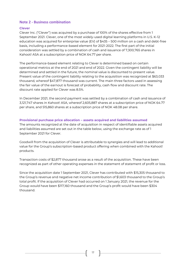# **Note 2 - Business combination**

## **Clever**

Clever Inc. ("Clever") was acquired by a purchase of 100% of the shares effective from 1 September 2021. Clever, one of the most widely-used digital learning platforms in U.S. K-12 education was acquired for enterprise value (EV) of \$435 – 500 million on a cash and debt-free basis, including a performance-based element for 2021-2022. The first part of the initial consideration was settled by a combination of cash and issuance of 7,300,765 shares in Kahoot! ASA at a subscription price of NOK 64.77 per share.

The performance-based element relating to Clever is determined based on certain operational metrics at the end of 2021 and end of 2022. Given the contingent liability will be determined and settled in the future, the nominal value is discounted to present value. Present value of the contingent liability relating to the acquisition was recognized at \$63,033 thousand, whereof \$47,877 thousand was current. The main three factors used in assessing the fair value of the earnout is forecast of probability, cash flow and discount rate. The discount rate applied for Clever was 8.5%.

In December 2021, the second payment was settled by a combination of cash and issuance of 3,121,747 shares in Kahoot! ASA, whereof 2,605,887 shares at a subscription price of NOK 64.77 per share, and 515,860 shares at a subscription price of NOK 48.08 per share.

## **Provisional purchase price allocation – assets acquired and liabilities assumed**

The amounts recognized at the date of acquisition in respect of identifiable assets acquired and liabilities assumed are set out in the table below, using the exchange rate as of 1 September 2021 for Clever.

Goodwill from the acquisition of Clever is attributable to synergies and will lead to additional value for the Group's subscription-based product offering when combined with the Kahoot! products.

Transaction costs of \$2,877 thousand arose as a result of the acquisition. These have been recognized as part of other operating expenses in the statement of statement of profit or loss.

Since the acquisition date 1 September 2021, Clever has contributed with \$15,305 thousand to the Group's revenue and negative net income contribution of \$1,603 thousand to the Group's total profit. If the acquisition of Clever had occurred on 1 January 2021, the revenue for the Group would have been \$117,160 thousand and the Group's profit would have been \$304 thousand.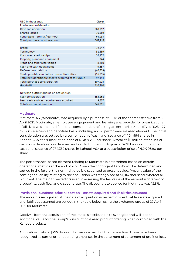| USD in thousands                                     | <b>Clever</b> |
|------------------------------------------------------|---------------|
| Purchase consideration                               |               |
| Cash consideration                                   | 368,212       |
| Shares issued                                        | 76,669        |
| Contingent liability / earn-out                      | 63,033        |
| Total purchase consideration                         | 507,914       |
|                                                      |               |
| <b>Brand</b>                                         | 72,647        |
| Technology                                           | 31,339        |
| Customer relationships                               | 32,172        |
| Property, plant and equipment                        | 344           |
| Trade and other receivables                          | 8,480         |
| Cash and cash equivalents                            | 9,657         |
| Deferred tax liability                               | (40, 629)     |
| Trade payables and other current liabilities         | (16, 855)     |
| Total net identifiable assets acquired at fair value | 97,154        |
| Total purchase consideration                         | 507,914       |
| Goodwill                                             | 410,760       |
|                                                      |               |
| Net cash outflow arising on acquisition              |               |
| Cash consideration                                   | 355,268       |

| Less: cash and cash equivalents acquired |
|------------------------------------------|
| Total cash consideration                 |
|                                          |

## **Motimate**

Motimate AS ("Motimate") was acquired by a purchase of 100% of the shares effective from 22 April 2021. Motimate, an employee engagement and learning app provider for organizations of all sizes was acquired for a total consideration reflecting an enterprise value (EV) of \$25 – 27 million on a cash and debt-free basis, including a 2021 performance-based element. The initial consideration was settled by a combination of cash and issuance of 1,104,994 shares in Kahoot! ASA at a subscription price of NOK 93.90 per share. A total of \$5 million of the initial cash consideration was deferred and settled in the fourth quarter 2021 by a combination of cash and issuance of 274,357 shares in Kahoot! ASA at a subscription price of NOK 93.90 per share

9,657 345,611

The performance-based element relating to Motimate is determined based on certain operational metrics at the end of 2021. Given the contingent liability will be determined and settled in the future, the nominal value is discounted to present value. Present value of the contingent liability relating to the acquisition was recognized at \$1,814 thousand, whereof all is current. The main three factors used in assessing the fair value of the earnout is forecast of probability, cash flow and discount rate. The discount rate applied for Motimate was 12.5%.

## **Provisional purchase price allocation – assets acquired and liabilities assumed**

The amounts recognized at the date of acquisition in respect of identifiable assets acquired and liabilities assumed are set out in the table below, using the exchange rate as of 22 April 2021 for Motimate.

Goodwill from the acquisition of Motimate is attributable to synergies and will lead to additional value for the Group's subscription-based product offering when combined with the Kahoot! products.

Acquisition costs of \$275 thousand arose as a result of the transaction. These have been recognized as part of other operating expenses in the statement of statement of profit or loss.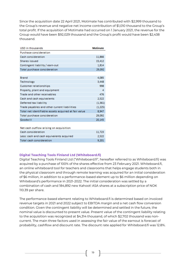Since the acquisition date 22 April 2021, Motimate has contributed with \$2,999 thousand to the Group's revenue and negative net income contribution of \$1,010 thousand to the Group's total profit. If the acquisition of Motimate had occurred on 1 January 2021, the revenue for the Group would have been \$92,029 thousand and the Group's profit would have been \$2,438 thousand.

| USD in thousands                                     | <b>Motimate</b> |
|------------------------------------------------------|-----------------|
| Purchase consideration                               |                 |
| Cash consideration                                   | 11,866          |
| Shares issued                                        | 15,412          |
| Contingent liability / earn-out                      | 1,814           |
| Total purchase consideration                         | 29,092          |
|                                                      |                 |
| <b>Brand</b>                                         | 4,085           |
| Technology                                           | 3,448           |
| Customer relationships                               | 998             |
| Property, plant and equipment                        | 4               |
| Trade and other receivables                          | 476             |
| Cash and cash equivalents                            | 2,522           |
| Deferred tax liability                               | (1, 361)        |
| Trade payables and other current liabilities         | (1,225)         |
| Total net identifiable assets acquired at fair value | 8.947           |
| Total purchase consideration                         | 29,092          |
| Goodwill                                             | 20,145          |
|                                                      |                 |
| Net cash outflow arising on acquisition              |                 |
| Cash consideration                                   | 11,723          |
| Less: cash and cash equivalents acquired             | 2,522           |
| <b>Total cash consideration</b>                      | 9,201           |

## **Digital Teaching Tools Finland Ltd (Whiteboard.fi)**

Digital Teaching Tools Finland Ltd ("Whiteboard.fi", hereafter referred to as Whiteboard.fi) was acquired by a purchase of 100% of the shares effective from 23 February 2021. Whiteboard.fi, an online whiteboard tool for teachers and classrooms that helps engage students both in the physical classroom and through remote learning was acquired for an initial consideration of \$6 million, in addition to a performance-based element up to \$6 million depending on Whiteboard's performance in 2021-2022. The initial consideration was settled by a combination of cash and 184,892 new Kahoot! ASA shares at a subscription price of NOK 110.39 per share.

The performance-based element relating to Whiteboard.fi is determined based on invoiced revenue targets in 2021 and 2022 subject to EBITDA margin and a net cash flow conversion condition. Given the contingent liability will be determined and settled in the future, the nominal value is discounted to present value. Present value of the contingent liability relating to the acquisition was recognized at \$4,314 thousand, of which \$2,702 thousand was noncurrent. The main three factors used in assessing the fair value of the earnout is forecast of probability, cashflow and discount rate. The discount rate applied for Whiteboard.fi was 12.8%.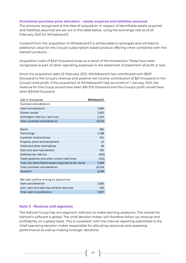## **Provisional purchase price allocation – assets acquired and liabilities assumed**

The amounts recognized at the date of acquisition in respect of identifiable assets acquired and liabilities assumed are set out in the table below, using the exchange rate as of 23 February 2021 for Whiteboard.fi.

Goodwill from the acquisition of Whiteboard.fi is attributable to synergies and will lead to additional value for the Group's subscription-based product offering when combined with the Kahoot! products.

Acquisition costs of \$241 thousand arose as a result of the transaction. These have been recognized as part of other operating expenses in the statement of statement of profit or loss.

Since the acquisition date 23 February 2021, Whiteboard.fi has contributed with \$697 thousand to the Group's revenue and positive net income contribution of \$21 thousand to the Group's total profit. If the acquisition of Whiteboard.fi had occurred on 1 January 2021, the revenue for the Group would have been \$91,370 thousand and the Group's profit would have been \$3,648 thousand.

| USD in thousands                                     | Whiteboard.fi |
|------------------------------------------------------|---------------|
| Purchase consideration                               |               |
| Cash consideration                                   | 3,600         |
| Shares issued                                        | 2,402         |
| Contingent liability / earn-out                      | 4,314         |
| Total purchase consideration                         | 10,316        |
|                                                      |               |
| <b>Brand</b>                                         | 982           |
| Technology                                           | 1,188         |
| Customer relationships                               | 341           |
| Property, plant and equipment                        | 12            |
| Trade and other receivables                          | 68            |
| Cash and cash equivalents                            | 293           |
| Deferred tax liability                               | (502)         |
| Trade payables and other current liabilities         | (312)         |
| Total net identifiable assets acquired at fair value | 2,069         |
| Total purchase consideration                         | 10,316        |
| Goodwill                                             | 8,246         |
|                                                      |               |
| Max engla publicus prining pa provinision            |               |

| Net cash outflow arising on acquisition  |       |
|------------------------------------------|-------|
| Cash consideration                       | 3.600 |
| Less: cash and cash equivalents acquired | 293   |
| Total cash consideration                 | 3.307 |

# **Note 3 - Revenue and segments**

The Kahoot! Group has one segment: software to make learning awesome. The market for Kahoot!'s software is global. The chief decision maker will therefore follow up revenue and profitability on a global basis. This is consistent with the internal reporting submitted to the chief operating decision maker responsible for allocating resources and assessing performance as well as making strategic decisions.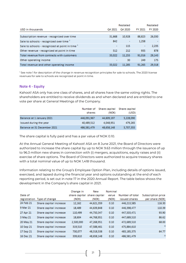|                                                 |         | Restated |         | Restated |
|-------------------------------------------------|---------|----------|---------|----------|
| USD in thousands                                | Q4 2021 | Q4 2020  | FY 2021 | FY 2020  |
|                                                 |         |          |         |          |
| Subscription revenue - recognized over time     | 31.668  | 10,928   | 88,823  | 26,030   |
| Sale to schools - recognized over time 1        | 842     | ۰        | 1,258   |          |
| Sale to schools - recognized at point in time 1 | $\sim$  | 115      | ۰       | 2,235    |
| Other revenue - recognized at point in time     | 512     | 212      | 935     | 878      |
| Total revenue from contracts with customers     | 33,022  | 11.255   | 91,016  | 29,143   |
| Other operating income                          | $\sim$  | 30       | 249     | 175      |
| Total revenue and other operating income        | 33.022  | 11.285   | 91.265  | 29,318   |

<sup>1</sup> See note 1 for description of the change in revenue recognition principles for sale to schools. The 2020 license revenues for sale to schools are recognized at point in time.

## **Note 4 - Equity**

Kahoot! ASA only has one class of shares, and all shares have the same voting rights. The shareholders are entitled to receive dividends as and when declared and are entitled to one vote per share at General Meetings of the Company.

|                             | Number of<br>shares | Share capital<br>(NOK) | Share capital<br>(USD) |
|-----------------------------|---------------------|------------------------|------------------------|
| Balance at 1 January 2021   | 446.091.967         | 44,609,197             | 5.228.090              |
| Issued during the year      | 40.489.512          | 4.048.951              | 479.265                |
| Balance at 31 December 2021 | 486,581,479         | 48,658,148             | 5,707,355              |

The share capital is fully paid and has a par value of NOK 0.10.

At the Annual General Meeting of Kahoot! ASA on 8 June 2021, the Board of Directors were authorized to increase the share capital by up to NOK 9.63 million through the issuance of up to 96.3 million new shares in connection with (i) mergers, acquisitions, equity raises and (ii) exercise of share options. The Board of Directors were authorized to acquire treasury shares with a total nominal value of up to NOK 1,418 thousand.

Information relating to the Group's Employee Option Plan, including details of options issued, exercised, and lapsed during the financial year and options outstanding at the end of each reporting period, is set out in note 17 in the 2020 Annual Report. The table below shows the development in the Company's share capital in 2021.

|              |                        | Change in | New                         | Nominal |                 |                    |
|--------------|------------------------|-----------|-----------------------------|---------|-----------------|--------------------|
| Date of      |                        |           | share capital share capital | value   | Number of total | Subscription price |
| registration | Type of change         | (NOK)     | (NOK)                       | (NOK)   | issued shares   | per share (NOK)    |
| 24 Feb 21    | Share capital increase | 12,162    | 44,621,359                  | 0.10    | 446,213,585     | 116.30             |
| 9 Mar 21     | Share capital increase | 18,489    | 44,639,848                  | 0.10    | 446,398,477     | 110.39             |
| 27 Apr 21    | Share capital increase | 110,499   | 44,750,347                  | 0.10    | 447.503.471     | 93.90              |
| 3 May 21     | Share capital increase | 18,604    | 44,768,951                  | 0.10    | 447,689,510     | 86.62              |
| 20 May 21    | Share capital increase | 2,500,000 | 47,268,951                  | 0.10    | 472,689,510     | 68.00              |
| 10 Sep 21    | Share capital increase | 319,510   | 47,588,461                  | 0.10    | 475,884,610     | $ 1\rangle$        |
| 17 Sep 21    | Share capital increase | 730,077   | 48,318,538                  | 0.10    | 483,185,375     | 64.77              |
| 16 Dec 21    | Share capital increase | 339,610   | 48,658,148                  | 0.10    | 486,581,479     | 2)                 |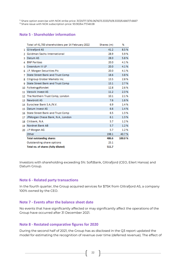1) Share option exercise with NOK strike price: 31/20/17.13/16.06/16/13.3333/10/8.3333/6.6667/1.6667

<sup>2)</sup> Share issue with NOK subscription price: 93.90/64.77/48.08

# **Note 5 - Shareholder information**

|                 | Total of 41,700 shareholders per 14 February 2022 | Shares (m) | %      |
|-----------------|---------------------------------------------------|------------|--------|
| 1.              | <b>Glitrafjord AS</b>                             | 41.2       | 8.5%   |
| 2               | <b>Goldman Sachs International</b>                | 28.9       | 5.9%   |
| з               | Datum AS                                          | 28.0       | 5.8%   |
|                 | <b>BNP Paribas</b>                                | 20.0       | 4.1%   |
| 5               | Creandum III LP                                   | 20.0       | 4.1%   |
| 6               | J.P. Morgan Securities Plc                        | 20.0       | 4.1%   |
| 7               | State Street Bank and Trust Comp                  | 18.6       | 3.8%   |
| 8               | Citigroup Global Markets Inc.                     | 13.5       | 2.8%   |
| 9               | State Street Bank and Trust Comp                  | 13.1       | 2.7%   |
| 10              | Folketrygdfondet                                  | 12.8       | 2.6%   |
|                 | 11 Versvik Invest AS                              | 11.2       | 2.3%   |
| 12              | The Northern Trust Comp, London                   | 10.1       | 21%    |
| 13 <sup>1</sup> | <b>Newbrott AS</b>                                | 7.6        | 1.6%   |
| 14              | Euroclear Bank S.A./N.V.                          | 6.9        | 1.4%   |
| 15.             | Datum Invest AS                                   | 6.6        | 1.4%   |
|                 | 16 State Street Bank and Trust Comp               | 6.5        | 1.3%   |
| 17              | JPMorgan Chase Bank, N.A., London                 | 6.1        | 1.3%   |
| 18              | Citibank, N.A.                                    | 5.7        | 12%    |
| 19              | Nordnet Bank AB                                   | 5.7        | 1.2%   |
|                 | 20 J.P Morgan AG                                  | 5.7        | 1.2%   |
|                 | Other                                             | 198.1      | 40.7%  |
|                 | <b>Total outstanding shares</b>                   | 486.6      | 100.0% |
|                 | Outstanding share options                         | 25.1       |        |
|                 | Total no. of shares (fully diluted)               | 511.7      |        |

Investors with shareholding exceeding 5%: SoftBank, Glitrafjord (CEO, Eilert Hanoa) and Datum Group.

# **Note 6 - Related party transactions**

In the fourth quarter, the Group acquired services for \$75K from Glitrafjord AS, a company 100% owned by the CEO.

## **Note 7 - Events after the balance sheet date**

No events that have significantly affected or may significantly affect the operations of the Group have occurred after 31 December 2021.

# **Note 8 - Restated comparative figures for 2020**

During the second half of 2021, the Group has as disclosed in the Q3 report updated the model for estimating the recognition of revenue over time (deferred revenue). The effect of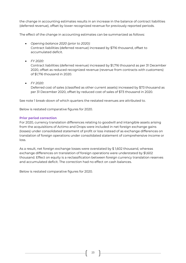the change in accounting estimates results in an increase in the balance of contract liabilities (deferred revenue), offset by lower recognized revenue for previously reported periods.

The effect of the change in accounting estimates can be summarized as follows:

- *Opening balance 2020 (prior to 2020):* Contract liabilities (deferred revenue) increased by \$716 thousand, offset to accumulated deficit.
- *FY 2020:*

Contract liabilities (deferred revenue) increased by \$1,716 thousand as per 31 December 2020, offset as reduced recognized revenue (revenue from contracts with customers) of \$1,716 thousand in 2020.

• *FY 2020:* Deferred cost of sales (classified as other current assets) increased by \$73 thousand as per 31 December 2020, offset by reduced cost of sales of \$73 thousand in 2020.

See note 1 break-down of which quarters the restated revenues are attributed to.

Below is restated comparative figures for 2020.

## **Prior period correction**

For 2020, currency translation differences relating to goodwill and intangible assets arising from the acquisitions of Actimo and Drops were included in net foreign exchange gains (losses) under consolidated statement of profit or loss instead of as exchange differences on translation of foreign operations under consolidated statement of comprehensive income or loss.

As a result, net foreign exchange losses were overstated by \$ 1,602 thousand, whereas exchange differences on translation of foreign operations were understated by \$1,602 thousand. Effect on equity is a reclassification between foreign currency translation reserves and accumulated deficit. The correction had no effect on cash balances.

Below is restated comparative figures for 2020.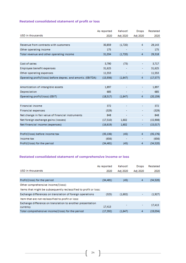## **Restated consolidated statement of profit or loss**

|                                                              | As reported | Kahoot!  | <b>Drops</b>             | Restated  |
|--------------------------------------------------------------|-------------|----------|--------------------------|-----------|
| USD in thousands                                             | 2020        | Adj 2020 | Adj 2020                 | 2020      |
|                                                              |             |          |                          |           |
| Revenue from contracts with customers                        | 30,859      | (1,720)  | 4                        | 29,143    |
| Other operating income                                       | 175         |          |                          | 175       |
| Total revenue and other operating income                     | 31,034      | (1,720)  | 4                        | 29,318    |
|                                                              |             |          |                          |           |
| Cost of sales                                                | 3,790       | (73)     | ۰                        | 3,717     |
| Employee benefit expenses                                    | 31,625      |          | ۰                        | 31,625    |
| Other operating expenses                                     | 11,553      |          | ۰                        | 11,553    |
| Operating profit/(loss) before deprec. and amortiz. (EBITDA) | (15,936)    | (1,647)  | 4                        | (17, 577) |
|                                                              |             |          |                          |           |
| Amortization of intangible assets                            | 1,897       |          |                          | 1,897     |
| Depreciation                                                 | 685         |          | ۰                        | 685       |
| Operating profit/(loss) (EBIT)                               | (18, 517)   | (1,647)  | 4                        | (20, 159) |
|                                                              |             |          |                          |           |
| <b>Financial income</b>                                      | 372         |          |                          | 372       |
| <b>Financial expenses</b>                                    | (329)       |          | ۰                        | (329)     |
| Net change in fair value of financial instruments            | 848         |          | ۰                        | 848       |
| Net foreign exchange gains (losses)                          | (17,510)    | 1,602    | ۰                        | (15,908)  |
| Net financial income (expenses)                              | (16, 619)   | 1,602    |                          | (15,017)  |
|                                                              |             |          |                          |           |
| Profit/(loss) before income tax                              | (35, 136)   | (45)     | 4                        | (35, 176) |
| Income tax                                                   | (656)       | ۰        | $\overline{\phantom{a}}$ | (656)     |
| Profit/(loss) for the period                                 | (34, 481)   | (45)     | 4                        | (34, 520) |

# **Restated consolidated statement of comprehensive income or loss**

|                                                                  | As reported | Kahoot!  | Drops                    | Restated |
|------------------------------------------------------------------|-------------|----------|--------------------------|----------|
| USD in thousands                                                 | 2020        | Adj 2020 | Adj 2020                 | 2020     |
|                                                                  |             |          |                          |          |
| Profit/(loss) for the period                                     | (34,481)    | (45)     | 4                        | (34,520) |
| Other comprehensive income/(loss):                               |             |          |                          |          |
| Items that might be subsequently reclassified to profit or loss: |             |          |                          |          |
| Exchange differences on translation of foreign operations        | (325)       | (1,602)  |                          | (1,927)  |
| Item that are not reclassified to profit or loss:                |             |          |                          |          |
| Exchange difference on translation to another presentation       |             |          | $\overline{\phantom{a}}$ | 17,413   |
| currency                                                         | 17,413      |          |                          |          |
| Total comprehensive income/(loss) for the period                 | (17, 392)   | (1.647)  |                          | (19.034) |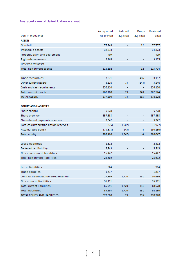## **Restated consolidated balance sheet**

|                                         | As reported | Kahoot!                  | Drops          | Restated  |
|-----------------------------------------|-------------|--------------------------|----------------|-----------|
| USD in thousands                        | 31.12.2020  | Adj 2020                 | Adj 2020       | 2020      |
| <b>ASSETS</b>                           |             |                          |                |           |
| Goodwill                                | 77,745      | ۰                        | 12             | 77,757    |
| Intangible assets                       | 34,373      |                          | ۰              | 34,373    |
| Property, plant and equipment           | 409         |                          |                | 409       |
| Right-of-use assets                     | 3,165       |                          | ۰              | 3,165     |
| Deferred tax asset                      |             |                          | ۰              |           |
| Total non-current assets                | 115,692     |                          | 12             | 115,704   |
|                                         |             |                          |                |           |
| <b>Trade receivables</b>                | 2,671       | $\overline{\phantom{a}}$ | 486            | 3,157     |
| Other current assets                    | 3,316       | 73.                      | (143)          | 3,246     |
| Cash and cash equivalents               | 256,120     | $\overline{\phantom{a}}$ | $\blacksquare$ | 256,120   |
| <b>Total current assets</b>             | 262,108     | 73.                      | 343            | 262,524   |
| <b>TOTAL ASSETS</b>                     | 377,800     | 73                       | 355            | 378,228   |
|                                         |             |                          |                |           |
| <b>EQUITY AND LIABILITIES</b>           |             |                          |                |           |
| Share capital                           | 5,228       |                          | ۰              | 5,228     |
| Share premium                           | 357,383     |                          | ۰              | 357,383   |
| Share-based payments reserves           | 5,542       |                          |                | 5,542     |
| Foreign currency translation reserves   | (375)       | (1,602)                  | ٠              | (1, 977)  |
| <b>Accumulated deficit</b>              | (79, 373)   | (45)                     | 4              | (80, 130) |
| <b>Total equity</b>                     | 288,406     | (1,647)                  | 4              | 286,047   |
|                                         |             |                          |                |           |
| Lease liabilities                       | 2,312       |                          |                | 2,312     |
| Deferred tax liability                  | 5,843       |                          | ۰              | 5,843     |
| Other non-current liabilities           | 15,447      |                          | ۰              | 15,447    |
| <b>Total non-current liabilities</b>    | 23,602      |                          |                | 23,602    |
|                                         |             |                          |                |           |
| Lease liabilities                       | 964         |                          |                | 964       |
| Trade payables                          | 1,817       |                          | ٠              | 1,817     |
| Contract liabilities (deferred revenue) | 27,899      | 1,720                    | 351            | 30,686    |
| Other current liabilities               | 35,111      |                          | ٠              | 35,111    |
| <b>Total current liabilities</b>        | 65,791      | 1,720                    | 351            | 68,578    |
| <b>Total liabilities</b>                | 89,393      | 1,720                    | 351            | 92,180    |
| <b>TOTAL EQUITY AND LIABILITIES</b>     | 377.800     | 73                       | 355            | 378.228   |

<u> 1980 - Johann Barbara, martxa a</u>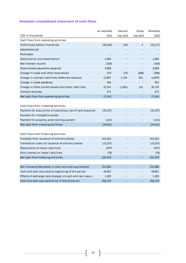# **Restated consolidated statement of cash flows**

|                                                              | As reported | Kahoot!  | Drops    | Restated  |
|--------------------------------------------------------------|-------------|----------|----------|-----------|
| USD in thousands                                             | 2020        | Adj 2020 | Adj 2020 | 2020      |
| Cash flows from operating activities                         |             |          |          |           |
| Profit/(loss) before income tax                              | (35, 136)   | (45)     | 4        | (35, 177) |
| Adjustments for:                                             |             |          |          |           |
| Paid taxes                                                   |             |          |          |           |
| Depreciation and amortization                                | 2,582       |          |          | 2,582     |
| Net interest income                                          | (329)       |          |          | (329)     |
| Share-based payments expense                                 | 3,069       |          | ۰        | 3,069     |
| Change in trade and other receivables                        | 279         | (73)     | (486)    | (280)     |
| Change in contract liabilities (deferred revenue)            | 13,807      | 1,720    | 351      | 15,878    |
| Change in trade payables                                     | 591         |          |          | 591       |
| Change in other current assets and other liabilities         | 32,191      | (1,602)  | 131      | 30,720    |
| Interest received                                            | 372         |          |          | 372       |
| Net cash flow from operating activities                      | 17,426      |          |          | 17,426    |
|                                                              |             |          |          |           |
| Cash flows from investing activities                         |             |          |          |           |
| Payment for acquisition of subsidiary, net of cash acquired. | (34,227)    |          |          | (34, 227) |
| Payment for intangible assets                                |             |          |          |           |
| Payment for property, plant and equipment                    | (214)       |          |          | (214)     |
| Net cash from investing activities                           | (34, 441)   |          |          | (34, 441) |
|                                                              |             |          |          |           |
| Cash flows from financing activities                         |             |          |          |           |
| Proceeds from issuance of ordinary shares                    | 241,931     |          |          | 241,931   |
| Transaction costs on issuance of ordinary shares             | (10, 237)   |          |          | (10, 237) |
| Repayments of lease liabilities                              | (537)       |          |          | (537)     |
| Paid interest on lease liabilities                           | (78)        |          |          | (78)      |
| Net cash from financing activities                           | 231,079     |          | ۰        | 231,079   |
|                                                              |             |          |          |           |
| Net increase/(decrease) in cash and cash equivalents         | 214,064     |          | ۰        | 214,064   |
| Cash and cash equivalents beginning of the period            | 40,851      |          |          | 40,851    |
| Effects of exchange rate changes on cash and cash equiv.     | 1,205       |          |          | 1,205     |
| Cash and cash equivalents as of end of period                | 256,120     |          |          | 256,120   |

 $\overline{\mathfrak{l}}$